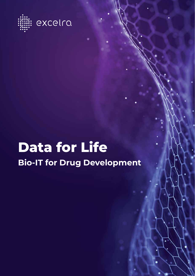

# **Data for Life Bio-IT for Drug Development**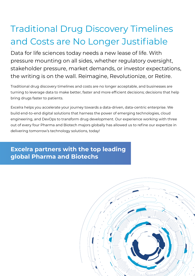## Traditional Drug Discovery Timelines and Costs are No Longer Justifiable

Data for life sciences today needs a new lease of life. With pressure mounting on all sides, whether regulatory oversight, stakeholder pressure, market demands, or investor expectations, the writing is on the wall. Reimagine, Revolutionize, or Retire.

Traditional drug discovery timelines and costs are no longer acceptable, and businesses are turning to leverage data to make better, faster and more efficient decisions; decisions that help bring drugs faster to patients.

Excelra helps you accelerate your journey towards a data-driven, data-centric enterprise. We build end-to-end digital solutions that harness the power of emerging technologies, cloud engineering, and DevOps to transform drug development. Our experience working with three out of every four Pharma and Biotech majors globally has allowed us to refine our expertize in delivering tomorrow's technology solutions, today!

**Excelra partners with the top leading global Pharma and Biotechs**

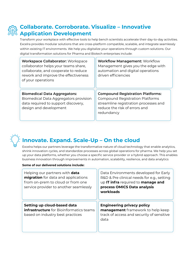

## **Collaborate. Corroborate. Visualize – Innovative Application Development**

Transform your workplace with effective tools to help bench scientists accelerate their day-to-day activities. Excelra provides modular solutions that are cross-platform compatible, scalable, and integrate seamlessly within existing IT environments. We help you digitalize your operations through custom solutions. Our digital transformation solutions for Pharma and Biotech enterprises include:

| <b>Workspace Collaborator: Workspace</b><br>collaborator helps your teams share,<br>collaborate, and cooperate to reduce<br>rework and improve the effectiveness<br>of your operations | <b>Workflow Management: Workflow</b><br>Management gives you the edge with<br>automation and digital operations<br>driven efficiencies                                    |
|----------------------------------------------------------------------------------------------------------------------------------------------------------------------------------------|---------------------------------------------------------------------------------------------------------------------------------------------------------------------------|
| <b>Biomedical Data Aggregators:</b><br>Biomedical Data Aggregators provision<br>data required to support discovery,<br>design and development                                          | <b>Compound Registration Platforms:</b><br><b>Compound Registration Platforms</b><br>streamline registration processes and<br>reduce the risk of errors and<br>redundancy |



## **Innovate. Expand. Scale-Up – On the cloud**

Excelra helps our partners leverage the transformative nature of cloud technology that enable analytics, shrink innovation cycles, and standardize processes across global operations for pharma. We help you set up your data platforms, whether you choose a specific service provider or a hybrid approach. This enables business innovation through improvements in automation, scalability, resilience, and data analytics

### **Some of our delivered solutions include:**

| Helping our partners with <b>data</b><br>migration for data and applications<br>from on-prem to cloud or from one<br>service provider to another seamlessly | Data Environments developed for Early<br>R&D & Pre clinical needs for e.g., setting<br>up IT infra required to manage and<br>process OMICS Data analysis<br>workloads |
|-------------------------------------------------------------------------------------------------------------------------------------------------------------|-----------------------------------------------------------------------------------------------------------------------------------------------------------------------|
| Setting up cloud-based data<br><b>infrastructure</b> for Bioinformatics teams<br>based on industry best practices                                           | <b>Engineering privacy policy</b><br>management framework to help keep<br>track of access and security of sensitive<br>data                                           |